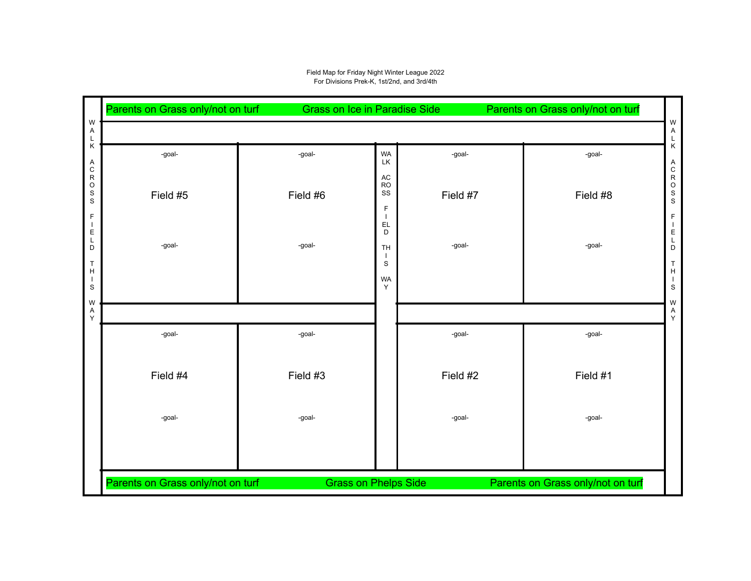## Field Map for Friday Night Winter League 2022 For Divisions Prek-K, 1st/2nd, and 3rd/4th